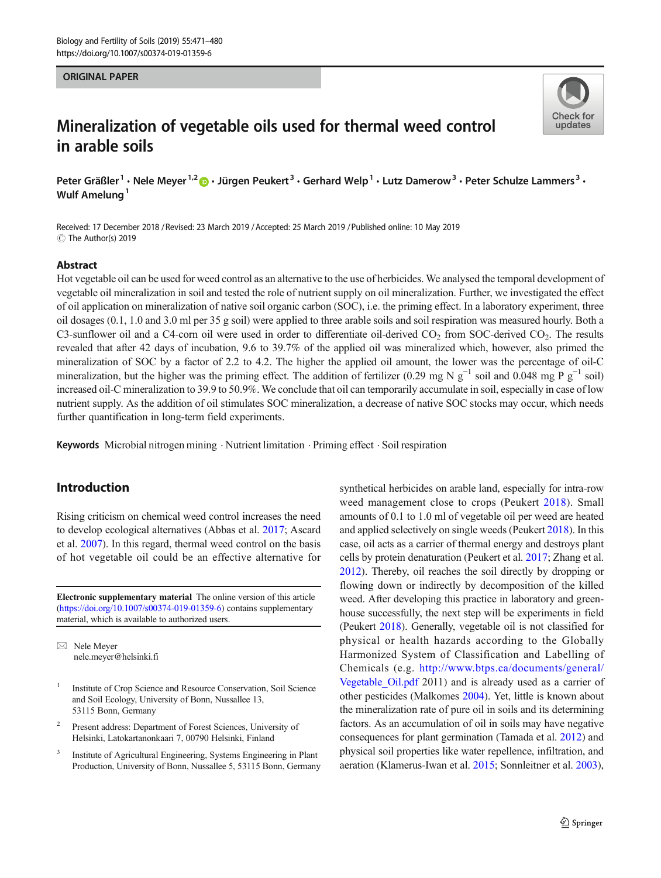#### ORIGINAL PAPER

# Mineralization of vegetable oils used for thermal weed control in arable soils

Peter Gräßler<sup>1</sup> • Nele Meyer<sup>1,2</sup>  $\bullet$  • Jürgen Peukert<sup>3</sup> • Gerhard Welp<sup>1</sup> • Lutz Damerow<sup>3</sup> • Peter Schulze Lammers<sup>3</sup> • Wulf Amelung<sup>1</sup>

Received: 17 December 2018 / Revised: 23 March 2019 /Accepted: 25 March 2019 /Published online: 10 May 2019  $\circledcirc$  The Author(s) 2019

#### Abstract

Hot vegetable oil can be used for weed control as an alternative to the use of herbicides. We analysed the temporal development of vegetable oil mineralization in soil and tested the role of nutrient supply on oil mineralization. Further, we investigated the effect of oil application on mineralization of native soil organic carbon (SOC), i.e. the priming effect. In a laboratory experiment, three oil dosages (0.1, 1.0 and 3.0 ml per 35 g soil) were applied to three arable soils and soil respiration was measured hourly. Both a C3-sunflower oil and a C4-corn oil were used in order to differentiate oil-derived  $CO_2$  from SOC-derived  $CO_2$ . The results revealed that after 42 days of incubation, 9.6 to 39.7% of the applied oil was mineralized which, however, also primed the mineralization of SOC by a factor of 2.2 to 4.2. The higher the applied oil amount, the lower was the percentage of oil-C mineralization, but the higher was the priming effect. The addition of fertilizer (0.29 mg N  $g^{-1}$  soil and 0.048 mg P  $g^{-1}$  soil) increased oil-C mineralization to 39.9 to 50.9%. We conclude that oil can temporarily accumulate in soil, especially in case of low nutrient supply. As the addition of oil stimulates SOC mineralization, a decrease of native SOC stocks may occur, which needs further quantification in long-term field experiments.

Keywords Microbial nitrogen mining . Nutrient limitation . Priming effect . Soil respiration

## Introduction

Rising criticism on chemical weed control increases the need to develop ecological alternatives (Abbas et al. [2017](#page-8-0); Ascard et al. [2007](#page-8-0)). In this regard, thermal weed control on the basis of hot vegetable oil could be an effective alternative for

Electronic supplementary material The online version of this article ([https://doi.org/10.1007/s00374-019-01359-6\)](https://doi.org/10.1007/s00374-019-01359-6) contains supplementary material, which is available to authorized users.

 $\boxtimes$  Nele Meyer [nele.meyer@helsinki.fi](mailto:nele.meyer@helsinki.fi)

- <sup>1</sup> Institute of Crop Science and Resource Conservation, Soil Science and Soil Ecology, University of Bonn, Nussallee 13, 53115 Bonn, Germany
- Present address: Department of Forest Sciences, University of Helsinki, Latokartanonkaari 7, 00790 Helsinki, Finland
- <sup>3</sup> Institute of Agricultural Engineering, Systems Engineering in Plant Production, University of Bonn, Nussallee 5, 53115 Bonn, Germany

synthetical herbicides on arable land, especially for intra-row weed management close to crops (Peukert [2018\)](#page-8-0). Small amounts of 0.1 to 1.0 ml of vegetable oil per weed are heated and applied selectively on single weeds (Peukert [2018\)](#page-8-0). In this case, oil acts as a carrier of thermal energy and destroys plant cells by protein denaturation (Peukert et al. [2017;](#page-8-0) Zhang et al. [2012\)](#page-9-0). Thereby, oil reaches the soil directly by dropping or flowing down or indirectly by decomposition of the killed weed. After developing this practice in laboratory and greenhouse successfully, the next step will be experiments in field (Peukert [2018\)](#page-8-0). Generally, vegetable oil is not classified for physical or health hazards according to the Globally Harmonized System of Classification and Labelling of Chemicals (e.g. [http://www.btps.ca/documents/general/](http://www.btps.ca/documents/general/Vegetable_Oil.pdf) [Vegetable\\_Oil.pdf](http://www.btps.ca/documents/general/Vegetable_Oil.pdf) 2011) and is already used as a carrier of other pesticides (Malkomes [2004](#page-8-0)). Yet, little is known about the mineralization rate of pure oil in soils and its determining factors. As an accumulation of oil in soils may have negative consequences for plant germination (Tamada et al. [2012](#page-9-0)) and physical soil properties like water repellence, infiltration, and aeration (Klamerus-Iwan et al. [2015;](#page-8-0) Sonnleitner et al. [2003\)](#page-9-0),

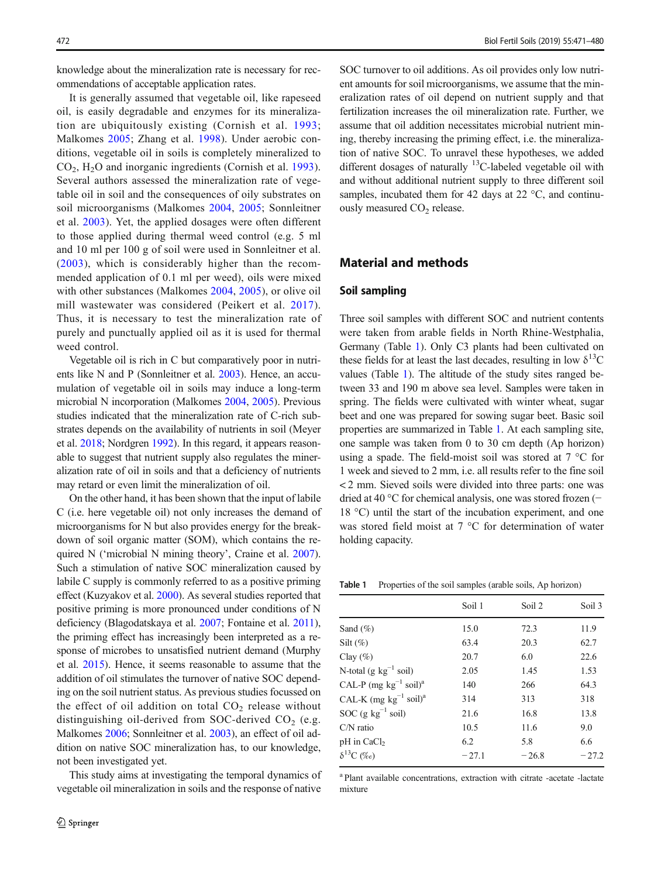knowledge about the mineralization rate is necessary for recommendations of acceptable application rates.

It is generally assumed that vegetable oil, like rapeseed oil, is easily degradable and enzymes for its mineralization are ubiquitously existing (Cornish et al. [1993](#page-8-0); Malkomes [2005;](#page-8-0) Zhang et al. [1998](#page-9-0)). Under aerobic conditions, vegetable oil in soils is completely mineralized to CO2, H2O and inorganic ingredients (Cornish et al. [1993](#page-8-0)). Several authors assessed the mineralization rate of vegetable oil in soil and the consequences of oily substrates on soil microorganisms (Malkomes [2004,](#page-8-0) [2005;](#page-8-0) Sonnleitner et al. [2003](#page-9-0)). Yet, the applied dosages were often different to those applied during thermal weed control (e.g. 5 ml and 10 ml per 100 g of soil were used in Sonnleitner et al. ([2003\)](#page-9-0), which is considerably higher than the recommended application of 0.1 ml per weed), oils were mixed with other substances (Malkomes [2004](#page-8-0), [2005\)](#page-8-0), or olive oil mill wastewater was considered (Peikert et al. [2017](#page-8-0)). Thus, it is necessary to test the mineralization rate of purely and punctually applied oil as it is used for thermal weed control.

Vegetable oil is rich in C but comparatively poor in nutrients like N and P (Sonnleitner et al. [2003\)](#page-9-0). Hence, an accumulation of vegetable oil in soils may induce a long-term microbial N incorporation (Malkomes [2004](#page-8-0), [2005\)](#page-8-0). Previous studies indicated that the mineralization rate of C-rich substrates depends on the availability of nutrients in soil (Meyer et al. [2018;](#page-8-0) Nordgren [1992](#page-8-0)). In this regard, it appears reasonable to suggest that nutrient supply also regulates the mineralization rate of oil in soils and that a deficiency of nutrients may retard or even limit the mineralization of oil.

On the other hand, it has been shown that the input of labile C (i.e. here vegetable oil) not only increases the demand of microorganisms for N but also provides energy for the breakdown of soil organic matter (SOM), which contains the required N ('microbial N mining theory', Craine et al. [2007\)](#page-8-0). Such a stimulation of native SOC mineralization caused by labile C supply is commonly referred to as a positive priming effect (Kuzyakov et al. [2000\)](#page-8-0). As several studies reported that positive priming is more pronounced under conditions of N deficiency (Blagodatskaya et al. [2007](#page-8-0); Fontaine et al. [2011\)](#page-8-0), the priming effect has increasingly been interpreted as a response of microbes to unsatisfied nutrient demand (Murphy et al. [2015](#page-8-0)). Hence, it seems reasonable to assume that the addition of oil stimulates the turnover of native SOC depending on the soil nutrient status. As previous studies focussed on the effect of oil addition on total  $CO<sub>2</sub>$  release without distinguishing oil-derived from SOC-derived  $CO<sub>2</sub>$  (e.g. Malkomes [2006](#page-8-0); Sonnleitner et al. [2003](#page-9-0)), an effect of oil addition on native SOC mineralization has, to our knowledge, not been investigated yet.

This study aims at investigating the temporal dynamics of vegetable oil mineralization in soils and the response of native

SOC turnover to oil additions. As oil provides only low nutrient amounts for soil microorganisms, we assume that the mineralization rates of oil depend on nutrient supply and that fertilization increases the oil mineralization rate. Further, we assume that oil addition necessitates microbial nutrient mining, thereby increasing the priming effect, i.e. the mineralization of native SOC. To unravel these hypotheses, we added different dosages of naturally  $^{13}$ C-labeled vegetable oil with and without additional nutrient supply to three different soil samples, incubated them for 42 days at 22 °C, and continuously measured  $CO<sub>2</sub>$  release.

## Material and methods

#### Soil sampling

Three soil samples with different SOC and nutrient contents were taken from arable fields in North Rhine-Westphalia, Germany (Table 1). Only C3 plants had been cultivated on these fields for at least the last decades, resulting in low  $\delta^{13}$ C values (Table 1). The altitude of the study sites ranged between 33 and 190 m above sea level. Samples were taken in spring. The fields were cultivated with winter wheat, sugar beet and one was prepared for sowing sugar beet. Basic soil properties are summarized in Table 1. At each sampling site, one sample was taken from 0 to 30 cm depth (Ap horizon) using a spade. The field-moist soil was stored at 7 °C for 1 week and sieved to 2 mm, i.e. all results refer to the fine soil < 2 mm. Sieved soils were divided into three parts: one was dried at 40 °C for chemical analysis, one was stored frozen (− 18 °C) until the start of the incubation experiment, and one was stored field moist at 7 °C for determination of water holding capacity.

Table 1 Properties of the soil samples (arable soils, Ap horizon)

|                                            | Soil 1  | Soil 2  | Soil 3  |
|--------------------------------------------|---------|---------|---------|
| Sand $(\% )$                               | 15.0    | 72.3    | 11.9    |
| Silt $(\%)$                                | 63.4    | 20.3    | 62.7    |
| Clay $(\% )$                               | 20.7    | 6.0     | 22.6    |
| N-total $(g \text{ kg}^{-1} \text{ soil})$ | 2.05    | 1.45    | 1.53    |
| CAL-P (mg $kg^{-1}$ soil) <sup>a</sup>     | 140     | 266     | 64.3    |
| CAL-K (mg $kg^{-1}$ soil) <sup>a</sup>     | 314     | 313     | 318     |
| SOC $(g \ kg^{-1} \text{ soil})$           | 21.6    | 16.8    | 13.8    |
| $CN$ ratio                                 | 10.5    | 11.6    | 9.0     |
| pH in CaCl <sub>2</sub>                    | 6.2     | 5.8     | 6.6     |
| $\delta^{13}C$ (%o)                        | $-27.1$ | $-26.8$ | $-27.2$ |

<sup>a</sup> Plant available concentrations, extraction with citrate -acetate -lactate mixture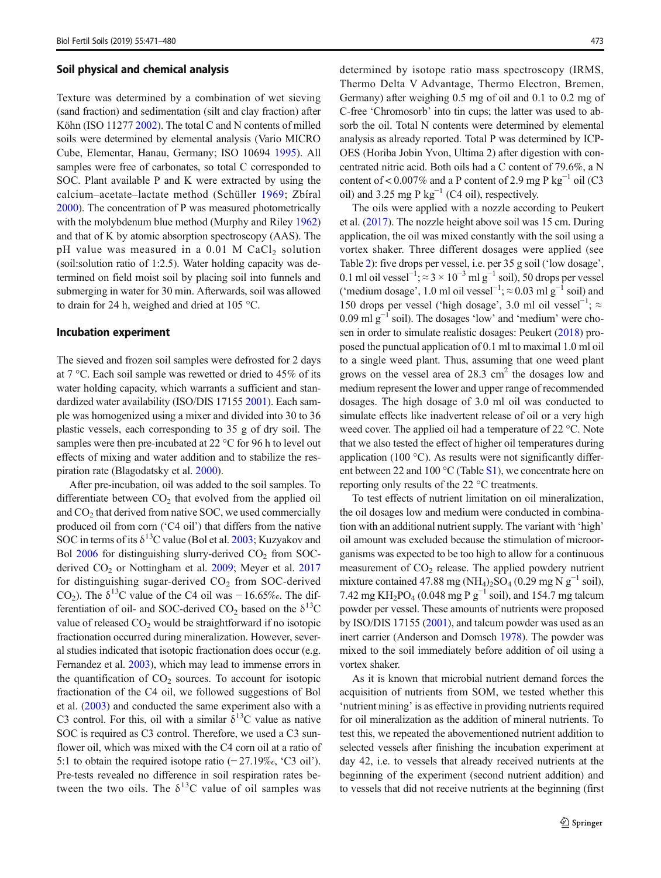#### Soil physical and chemical analysis

Texture was determined by a combination of wet sieving (sand fraction) and sedimentation (silt and clay fraction) after Köhn (ISO 11277 [2002\)](#page-8-0). The total C and N contents of milled soils were determined by elemental analysis (Vario MICRO Cube, Elementar, Hanau, Germany; ISO 10694 [1995](#page-8-0)). All samples were free of carbonates, so total C corresponded to SOC. Plant available P and K were extracted by using the calcium–acetate–lactate method (Schüller [1969](#page-9-0); Zbíral [2000\)](#page-9-0). The concentration of P was measured photometrically with the molybdenum blue method (Murphy and Riley [1962\)](#page-8-0) and that of K by atomic absorption spectroscopy (AAS). The pH value was measured in a  $0.01$  M CaCl<sub>2</sub> solution (soil:solution ratio of 1:2.5). Water holding capacity was determined on field moist soil by placing soil into funnels and submerging in water for 30 min. Afterwards, soil was allowed to drain for 24 h, weighed and dried at 105 °C.

#### Incubation experiment

The sieved and frozen soil samples were defrosted for 2 days at 7 °C. Each soil sample was rewetted or dried to 45% of its water holding capacity, which warrants a sufficient and standardized water availability (ISO/DIS 17155 [2001\)](#page-8-0). Each sample was homogenized using a mixer and divided into 30 to 36 plastic vessels, each corresponding to 35 g of dry soil. The samples were then pre-incubated at 22 °C for 96 h to level out effects of mixing and water addition and to stabilize the respiration rate (Blagodatsky et al. [2000\)](#page-8-0).

After pre-incubation, oil was added to the soil samples. To differentiate between  $CO<sub>2</sub>$  that evolved from the applied oil and  $CO<sub>2</sub>$  that derived from native SOC, we used commercially produced oil from corn ('C4 oil') that differs from the native SOC in terms of its  $\delta^{13}$ C value (Bol et al. [2003](#page-8-0); Kuzyakov and Bol  $2006$  for distinguishing slurry-derived  $CO<sub>2</sub>$  from SOC-derived CO<sub>2</sub> or Nottingham et al. [2009](#page-8-0); Meyer et al. [2017](#page-8-0) for distinguishing sugar-derived  $CO<sub>2</sub>$  from SOC-derived CO<sub>2</sub>). The  $\delta^{13}$ C value of the C4 oil was - 16.65‰. The differentiation of oil- and SOC-derived  $CO_2$  based on the  $\delta^{13}C$ value of released  $CO<sub>2</sub>$  would be straightforward if no isotopic fractionation occurred during mineralization. However, several studies indicated that isotopic fractionation does occur (e.g. Fernandez et al. [2003](#page-8-0)), which may lead to immense errors in the quantification of  $CO<sub>2</sub>$  sources. To account for isotopic fractionation of the C4 oil, we followed suggestions of Bol et al. [\(2003\)](#page-8-0) and conducted the same experiment also with a C3 control. For this, oil with a similar  $\delta^{13}$ C value as native SOC is required as C3 control. Therefore, we used a C3 sunflower oil, which was mixed with the C4 corn oil at a ratio of 5:1 to obtain the required isotope ratio (− 27.19‰, 'C3 oil'). Pre-tests revealed no difference in soil respiration rates between the two oils. The  $\delta^{13}$ C value of oil samples was determined by isotope ratio mass spectroscopy (IRMS, Thermo Delta V Advantage, Thermo Electron, Bremen, Germany) after weighing 0.5 mg of oil and 0.1 to 0.2 mg of C-free 'Chromosorb' into tin cups; the latter was used to absorb the oil. Total N contents were determined by elemental analysis as already reported. Total P was determined by ICP-OES (Horiba Jobin Yvon, Ultima 2) after digestion with concentrated nitric acid. Both oils had a C content of 79.6%, a N content of < 0.007% and a P content of 2.9 mg P kg<sup>-1</sup> oil (C3 oil) and 3.25 mg P kg<sup>-1</sup> (C4 oil), respectively.

The oils were applied with a nozzle according to Peukert et al. [\(2017\)](#page-8-0). The nozzle height above soil was 15 cm. During application, the oil was mixed constantly with the soil using a vortex shaker. Three different dosages were applied (see Table [2](#page-3-0)): five drops per vessel, i.e. per 35 g soil ('low dosage', 0.1 ml oil vessel<sup>-1</sup>;  $\approx$  3 × 10<sup>-3</sup> ml g<sup>-1</sup> soil), 50 drops per vessel ('medium dosage', 1.0 ml oil vessel<sup>-1</sup>;  $\approx$  0.03 ml g<sup>-1</sup> soil) and 150 drops per vessel ('high dosage', 3.0 ml oil vessel−<sup>1</sup> ; ≈ 0.09 ml  $g^{-1}$  soil). The dosages 'low' and 'medium' were chosen in order to simulate realistic dosages: Peukert ([2018](#page-8-0)) proposed the punctual application of 0.1 ml to maximal 1.0 ml oil to a single weed plant. Thus, assuming that one weed plant grows on the vessel area of  $28.3 \text{ cm}^2$  the dosages low and medium represent the lower and upper range of recommended dosages. The high dosage of 3.0 ml oil was conducted to simulate effects like inadvertent release of oil or a very high weed cover. The applied oil had a temperature of 22 °C. Note that we also tested the effect of higher oil temperatures during application (100 $^{\circ}$ C). As results were not significantly different between 22 and 100 °C (Table S1), we concentrate here on reporting only results of the 22 °C treatments.

To test effects of nutrient limitation on oil mineralization, the oil dosages low and medium were conducted in combination with an additional nutrient supply. The variant with 'high' oil amount was excluded because the stimulation of microorganisms was expected to be too high to allow for a continuous measurement of  $CO<sub>2</sub>$  release. The applied powdery nutrient mixture contained 47.88 mg (NH<sub>4</sub>)<sub>2</sub>SO<sub>4</sub> (0.29 mg N g<sup>-1</sup> soil), 7.42 mg KH<sub>2</sub>PO<sub>4</sub> (0.048 mg P g<sup>-1</sup> soil), and 154.7 mg talcum powder per vessel. These amounts of nutrients were proposed by ISO/DIS 17155 [\(2001\)](#page-8-0), and talcum powder was used as an inert carrier (Anderson and Domsch [1978](#page-8-0)). The powder was mixed to the soil immediately before addition of oil using a vortex shaker.

As it is known that microbial nutrient demand forces the acquisition of nutrients from SOM, we tested whether this 'nutrient mining' is as effective in providing nutrients required for oil mineralization as the addition of mineral nutrients. To test this, we repeated the abovementioned nutrient addition to selected vessels after finishing the incubation experiment at day 42, i.e. to vessels that already received nutrients at the beginning of the experiment (second nutrient addition) and to vessels that did not receive nutrients at the beginning (first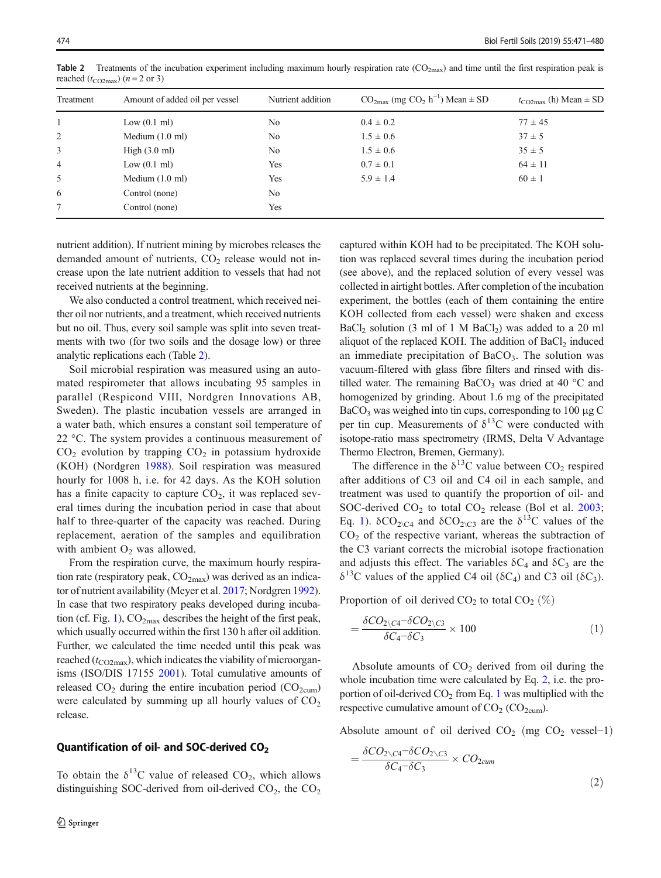| Treatment      | Amount of added oil per vessel | Nutrient addition | $CO2max$ (mg $CO2 h-1$ ) Mean $\pm$ SD | $t_{\text{CO2max}}$ (h) Mean $\pm$ SD |
|----------------|--------------------------------|-------------------|----------------------------------------|---------------------------------------|
|                | Low $(0.1 \text{ ml})$         | No                | $0.4 \pm 0.2$                          | $77 \pm 45$                           |
| 2              | Medium $(1.0 \text{ ml})$      | No                | $1.5 \pm 0.6$                          | $37 \pm 5$                            |
| $\overline{3}$ | High $(3.0 \text{ ml})$        | No                | $1.5 \pm 0.6$                          | $35 \pm 5$                            |
| $\overline{4}$ | Low $(0.1 \text{ ml})$         | Yes               | $0.7 \pm 0.1$                          | $64 \pm 11$                           |
| 5              | Medium $(1.0 \text{ ml})$      | Yes               | $5.9 \pm 1.4$                          | $60 \pm 1$                            |
| 6              | Control (none)                 | No                |                                        |                                       |
| $\tau$         | Control (none)                 | Yes               |                                        |                                       |

<span id="page-3-0"></span>**Table 2** Treatments of the incubation experiment including maximum hourly respiration rate  $(CO_{2max})$  and time until the first respiration peak is reached ( $t_{CO2max}$ ) ( $n = 2$  or 3)

nutrient addition). If nutrient mining by microbes releases the demanded amount of nutrients,  $CO<sub>2</sub>$  release would not increase upon the late nutrient addition to vessels that had not received nutrients at the beginning.

We also conducted a control treatment, which received neither oil nor nutrients, and a treatment, which received nutrients but no oil. Thus, every soil sample was split into seven treatments with two (for two soils and the dosage low) or three analytic replications each (Table 2).

Soil microbial respiration was measured using an automated respirometer that allows incubating 95 samples in parallel (Respicond VIII, Nordgren Innovations AB, Sweden). The plastic incubation vessels are arranged in a water bath, which ensures a constant soil temperature of 22 °C. The system provides a continuous measurement of  $CO<sub>2</sub>$  evolution by trapping  $CO<sub>2</sub>$  in potassium hydroxide (KOH) (Nordgren [1988](#page-8-0)). Soil respiration was measured hourly for 1008 h, i.e. for 42 days. As the KOH solution has a finite capacity to capture  $CO<sub>2</sub>$ , it was replaced several times during the incubation period in case that about half to three-quarter of the capacity was reached. During replacement, aeration of the samples and equilibration with ambient  $O<sub>2</sub>$  was allowed.

From the respiration curve, the maximum hourly respiration rate (respiratory peak,  $CO<sub>2max</sub>$ ) was derived as an indicator of nutrient availability (Meyer et al. [2017](#page-8-0); Nordgren [1992\)](#page-8-0). In case that two respiratory peaks developed during incuba-tion (cf. Fig. [1\)](#page-4-0),  $CO<sub>2max</sub>$  describes the height of the first peak, which usually occurred within the first 130 h after oil addition. Further, we calculated the time needed until this peak was reached ( $t_{\text{CO2max}}$ ), which indicates the viability of microorganisms (ISO/DIS 17155 [2001\)](#page-8-0). Total cumulative amounts of released  $CO<sub>2</sub>$  during the entire incubation period  $(CO<sub>2cum</sub>)$ were calculated by summing up all hourly values of  $CO<sub>2</sub>$ release.

#### Quantification of oil- and SOC-derived CO<sub>2</sub>

To obtain the  $\delta^{13}$ C value of released CO<sub>2</sub>, which allows distinguishing SOC-derived from oil-derived  $CO<sub>2</sub>$ , the  $CO<sub>2</sub>$  captured within KOH had to be precipitated. The KOH solution was replaced several times during the incubation period (see above), and the replaced solution of every vessel was collected in airtight bottles. After completion of the incubation experiment, the bottles (each of them containing the entire KOH collected from each vessel) were shaken and excess BaCl<sub>2</sub> solution (3 ml of 1 M BaCl<sub>2</sub>) was added to a 20 ml aliquot of the replaced KOH. The addition of BaCl<sub>2</sub> induced an immediate precipitation of  $BaCO<sub>3</sub>$ . The solution was vacuum-filtered with glass fibre filters and rinsed with distilled water. The remaining BaCO<sub>3</sub> was dried at 40  $\degree$ C and homogenized by grinding. About 1.6 mg of the precipitated  $BaCO<sub>3</sub>$  was weighed into tin cups, corresponding to 100 μg C per tin cup. Measurements of  $\delta^{13}$ C were conducted with isotope-ratio mass spectrometry (IRMS, Delta V Advantage Thermo Electron, Bremen, Germany).

The difference in the  $\delta^{13}$ C value between CO<sub>2</sub> respired after additions of C3 oil and C4 oil in each sample, and treatment was used to quantify the proportion of oil- and SOC-derived  $CO<sub>2</sub>$  to total  $CO<sub>2</sub>$  release (Bol et al. [2003;](#page-8-0) Eq. 1).  $\delta CO_{2\backslash C4}$  and  $\delta CO_{2\backslash C3}$  are the  $\delta^{13}$ C values of the  $CO<sub>2</sub>$  of the respective variant, whereas the subtraction of the C3 variant corrects the microbial isotope fractionation and adjusts this effect. The variables  $\delta C_4$  and  $\delta C_3$  are the  $\delta^{13}$ C values of the applied C4 oil (δC<sub>4</sub>) and C3 oil (δC<sub>3</sub>).

Proportion of oil derived  $CO<sub>2</sub>$  to total  $CO<sub>2</sub>$  (%)

$$
=\frac{\delta CO_{2\backslash C4} - \delta CO_{2\backslash C3}}{\delta C_4 - \delta C_3} \times 100\tag{1}
$$

Absolute amounts of  $CO<sub>2</sub>$  derived from oil during the whole incubation time were calculated by Eq. 2, i.e. the proportion of oil-derived  $CO<sub>2</sub>$  from Eq. 1 was multiplied with the respective cumulative amount of  $CO<sub>2</sub>$  (CO<sub>2cum</sub>).

Absolute amount of oil derived  $CO_2$  (mg  $CO_2$  vessel−1)

$$
=\frac{\delta CO_{2\setminus C4}-\delta CO_{2\setminus C3}}{\delta C_4-\delta C_3} \times CO_{2cum}
$$
\n(2)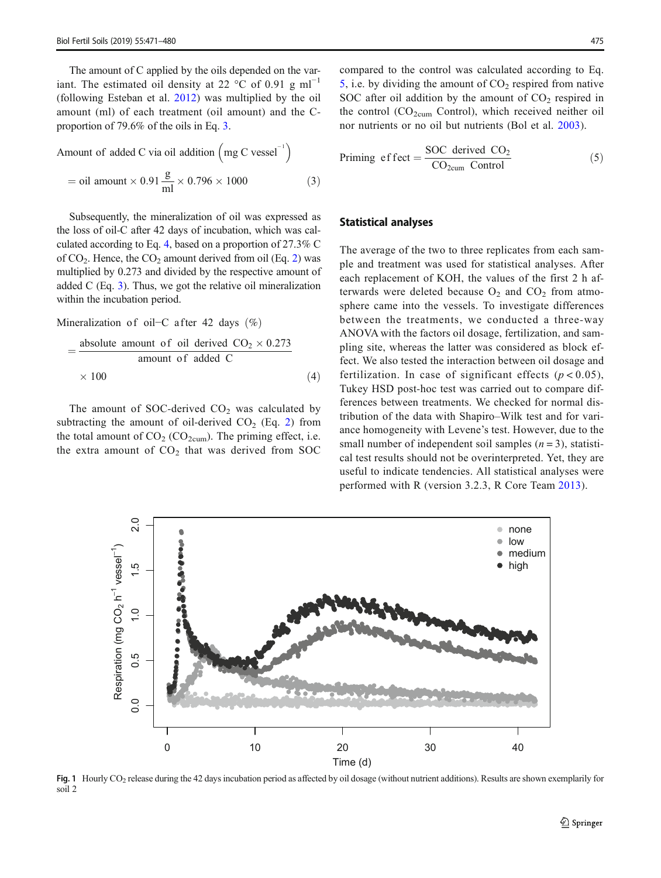<span id="page-4-0"></span>The amount of C applied by the oils depended on the variant. The estimated oil density at 22 °C of 0.91 g ml<sup>-1</sup> (following Esteban et al. [2012](#page-8-0)) was multiplied by the oil amount (ml) of each treatment (oil amount) and the Cproportion of 79.6% of the oils in Eq. 3.

Amount of added C via oil addition  $\left(mg C \text{ vessel}^{-1}\right)$  $=$  oil amount  $\times$  0.91  $\frac{\text{g}}{\text{ml}} \times 0.796 \times 1000$  (3)

Subsequently, the mineralization of oil was expressed as the loss of oil-C after 42 days of incubation, which was calculated according to Eq. 4, based on a proportion of 27.3% C of  $CO<sub>2</sub>$  $CO<sub>2</sub>$  $CO<sub>2</sub>$ . Hence, the  $CO<sub>2</sub>$  amount derived from oil (Eq. 2) was multiplied by 0.273 and divided by the respective amount of added C (Eq. 3). Thus, we got the relative oil mineralization within the incubation period.

Mineralization of oil−C after 42 days  $(\%)$ 

$$
= \frac{\text{absolute amount of oil derived } CO_2 \times 0.273}{\text{amount of added C}} \times 100 \tag{4}
$$

The amount of SOC-derived  $CO<sub>2</sub>$  was calculated by subtracting the amount of oil-derived  $CO<sub>2</sub>$  $CO<sub>2</sub>$  $CO<sub>2</sub>$  (Eq. 2) from the total amount of  $CO_2$  ( $CO_{2cum}$ ). The priming effect, i.e. the extra amount of  $CO<sub>2</sub>$  that was derived from SOC compared to the control was calculated according to Eq. 5, i.e. by dividing the amount of  $CO<sub>2</sub>$  respired from native SOC after oil addition by the amount of  $CO<sub>2</sub>$  respired in the control  $(CO_{2cum}$  Control), which received neither oil nor nutrients or no oil but nutrients (Bol et al. [2003](#page-8-0)).

$$
Priming \space \text{effect} = \frac{\text{SOC} \space derived \space \text{CO}_2}{\text{CO}_{2\text{cum}} \space Control} \tag{5}
$$

## Statistical analyses

The average of the two to three replicates from each sample and treatment was used for statistical analyses. After each replacement of KOH, the values of the first 2 h afterwards were deleted because  $O_2$  and  $CO_2$  from atmosphere came into the vessels. To investigate differences between the treatments, we conducted a three-way ANOVA with the factors oil dosage, fertilization, and sampling site, whereas the latter was considered as block effect. We also tested the interaction between oil dosage and fertilization. In case of significant effects  $(p < 0.05)$ , Tukey HSD post-hoc test was carried out to compare differences between treatments. We checked for normal distribution of the data with Shapiro–Wilk test and for variance homogeneity with Levene's test. However, due to the small number of independent soil samples  $(n = 3)$ , statistical test results should not be overinterpreted. Yet, they are useful to indicate tendencies. All statistical analyses were performed with R (version 3.2.3, R Core Team [2013\)](#page-8-0).



Fig. 1 Hourly CO<sub>2</sub> release during the 42 days incubation period as affected by oil dosage (without nutrient additions). Results are shown exemplarily for soil 2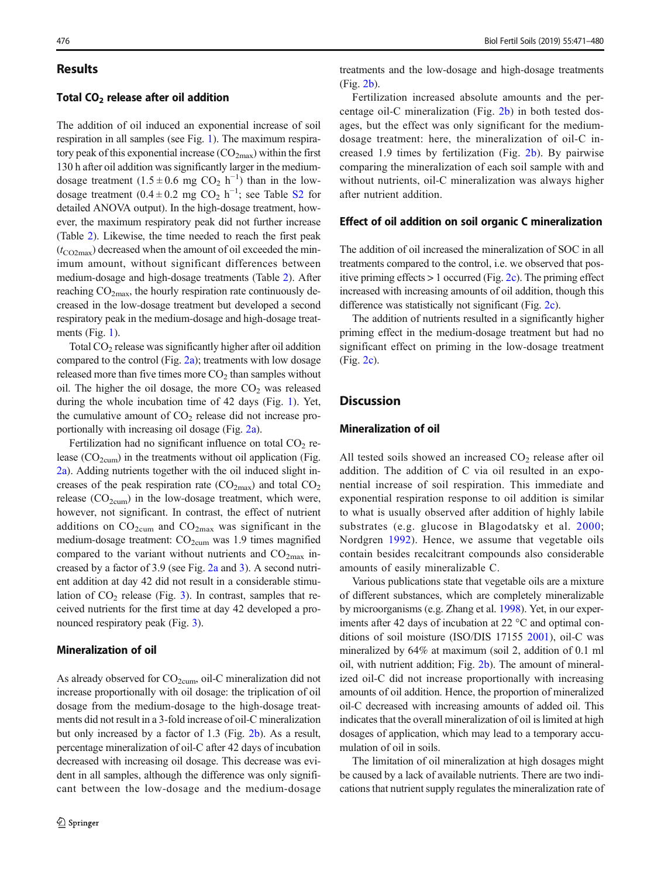#### Results

## Total  $CO<sub>2</sub>$  release after oil addition

The addition of oil induced an exponential increase of soil respiration in all samples (see Fig. [1\)](#page-4-0). The maximum respiratory peak of this exponential increase  $(CO_{2max})$  within the first 130 h after oil addition was significantly larger in the mediumdosage treatment  $(1.5 \pm 0.6 \text{ mg } CO_2 \text{ h}^{-1})$  than in the lowdosage treatment (0.4 ± 0.2 mg CO<sub>2</sub> h<sup>-1</sup>; see Table S<sub>2</sub> for detailed ANOVA output). In the high-dosage treatment, however, the maximum respiratory peak did not further increase (Table [2\)](#page-3-0). Likewise, the time needed to reach the first peak  $(t_{\text{CO2max}})$  decreased when the amount of oil exceeded the minimum amount, without significant differences between medium-dosage and high-dosage treatments (Table [2](#page-3-0)). After reaching  $CO<sub>2max</sub>$ , the hourly respiration rate continuously decreased in the low-dosage treatment but developed a second respiratory peak in the medium-dosage and high-dosage treatments (Fig. [1\)](#page-4-0).

Total  $CO<sub>2</sub>$  release was significantly higher after oil addition compared to the control (Fig. [2a](#page-6-0)); treatments with low dosage released more than five times more  $CO<sub>2</sub>$  than samples without oil. The higher the oil dosage, the more  $CO<sub>2</sub>$  was released during the whole incubation time of 42 days (Fig. [1](#page-4-0)). Yet, the cumulative amount of  $CO<sub>2</sub>$  release did not increase proportionally with increasing oil dosage (Fig. [2a\)](#page-6-0).

Fertilization had no significant influence on total  $CO<sub>2</sub>$  release  $(CO_{2\text{cum}})$  in the treatments without oil application (Fig. [2a](#page-6-0)). Adding nutrients together with the oil induced slight increases of the peak respiration rate  $(CO_{2max})$  and total  $CO_2$ release  $(CO_{2cum})$  in the low-dosage treatment, which were, however, not significant. In contrast, the effect of nutrient additions on  $CO_{2\text{cum}}$  and  $CO_{2\text{max}}$  was significant in the medium-dosage treatment:  $CO<sub>2cum</sub>$  was 1.9 times magnified compared to the variant without nutrients and  $CO<sub>2max</sub>$  increased by a factor of 3.9 (see Fig. [2a](#page-6-0) and [3\)](#page-7-0). A second nutrient addition at day 42 did not result in a considerable stimulation of  $CO<sub>2</sub>$  release (Fig. [3](#page-7-0)). In contrast, samples that received nutrients for the first time at day 42 developed a pronounced respiratory peak (Fig. [3\)](#page-7-0).

### Mineralization of oil

As already observed for CO<sub>2cum</sub>, oil-C mineralization did not increase proportionally with oil dosage: the triplication of oil dosage from the medium-dosage to the high-dosage treatments did not result in a 3-fold increase of oil-C mineralization but only increased by a factor of 1.3 (Fig. [2b](#page-6-0)). As a result, percentage mineralization of oil-C after 42 days of incubation decreased with increasing oil dosage. This decrease was evident in all samples, although the difference was only significant between the low-dosage and the medium-dosage

treatments and the low-dosage and high-dosage treatments (Fig. [2b](#page-6-0)).

Fertilization increased absolute amounts and the percentage oil-C mineralization (Fig. [2b\)](#page-6-0) in both tested dosages, but the effect was only significant for the mediumdosage treatment: here, the mineralization of oil-C increased 1.9 times by fertilization (Fig. [2b\)](#page-6-0). By pairwise comparing the mineralization of each soil sample with and without nutrients, oil-C mineralization was always higher after nutrient addition.

#### Effect of oil addition on soil organic C mineralization

The addition of oil increased the mineralization of SOC in all treatments compared to the control, i.e. we observed that positive priming effects  $> 1$  occurred (Fig. [2c](#page-6-0)). The priming effect increased with increasing amounts of oil addition, though this difference was statistically not significant (Fig. [2c\)](#page-6-0).

The addition of nutrients resulted in a significantly higher priming effect in the medium-dosage treatment but had no significant effect on priming in the low-dosage treatment (Fig. [2c](#page-6-0)).

## **Discussion**

## Mineralization of oil

All tested soils showed an increased  $CO<sub>2</sub>$  release after oil addition. The addition of C via oil resulted in an exponential increase of soil respiration. This immediate and exponential respiration response to oil addition is similar to what is usually observed after addition of highly labile substrates (e.g. glucose in Blagodatsky et al. [2000;](#page-8-0) Nordgren [1992\)](#page-8-0). Hence, we assume that vegetable oils contain besides recalcitrant compounds also considerable amounts of easily mineralizable C.

Various publications state that vegetable oils are a mixture of different substances, which are completely mineralizable by microorganisms (e.g. Zhang et al. [1998](#page-9-0)). Yet, in our experiments after 42 days of incubation at 22 °C and optimal conditions of soil moisture (ISO/DIS 17155 [2001](#page-8-0)), oil-C was mineralized by 64% at maximum (soil 2, addition of 0.1 ml oil, with nutrient addition; Fig. [2b](#page-6-0)). The amount of mineralized oil-C did not increase proportionally with increasing amounts of oil addition. Hence, the proportion of mineralized oil-C decreased with increasing amounts of added oil. This indicates that the overall mineralization of oil is limited at high dosages of application, which may lead to a temporary accumulation of oil in soils.

The limitation of oil mineralization at high dosages might be caused by a lack of available nutrients. There are two indications that nutrient supply regulates the mineralization rate of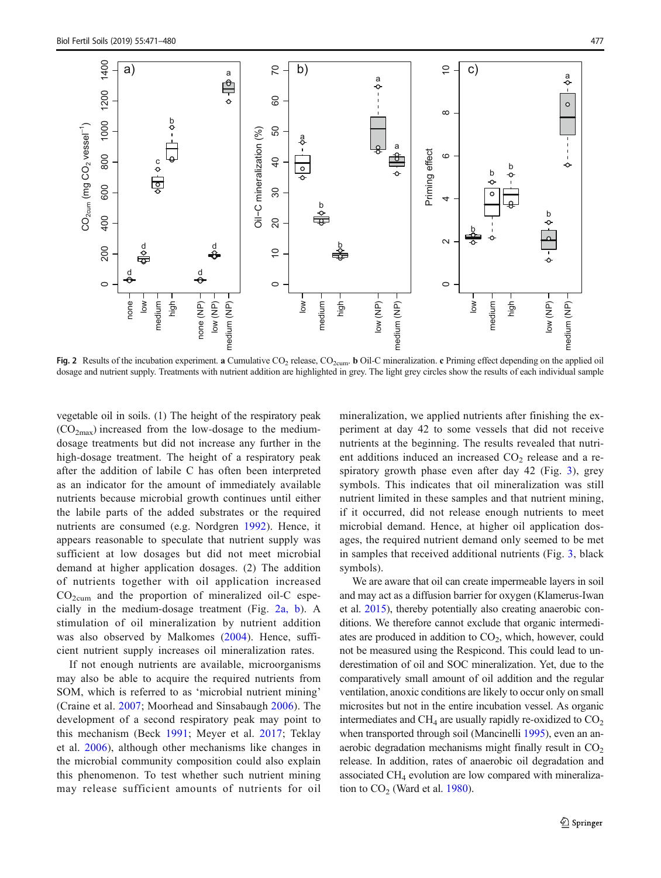<span id="page-6-0"></span>

Fig. 2 Results of the incubation experiment. a Cumulative CO<sub>2</sub> release, CO<sub>2cum</sub>. b Oil-C mineralization. c Priming effect depending on the applied oil dosage and nutrient supply. Treatments with nutrient addition are highlighted in grey. The light grey circles show the results of each individual sample

vegetable oil in soils. (1) The height of the respiratory peak  $(CO_{2max})$  increased from the low-dosage to the mediumdosage treatments but did not increase any further in the high-dosage treatment. The height of a respiratory peak after the addition of labile C has often been interpreted as an indicator for the amount of immediately available nutrients because microbial growth continues until either the labile parts of the added substrates or the required nutrients are consumed (e.g. Nordgren [1992](#page-8-0)). Hence, it appears reasonable to speculate that nutrient supply was sufficient at low dosages but did not meet microbial demand at higher application dosages. (2) The addition of nutrients together with oil application increased  $CO<sub>2cum</sub>$  and the proportion of mineralized oil-C especially in the medium-dosage treatment (Fig. 2a, b). A stimulation of oil mineralization by nutrient addition was also observed by Malkomes [\(2004\)](#page-8-0). Hence, sufficient nutrient supply increases oil mineralization rates.

If not enough nutrients are available, microorganisms may also be able to acquire the required nutrients from SOM, which is referred to as 'microbial nutrient mining' (Craine et al. [2007](#page-8-0); Moorhead and Sinsabaugh [2006\)](#page-8-0). The development of a second respiratory peak may point to this mechanism (Beck [1991;](#page-8-0) Meyer et al. [2017](#page-8-0); Teklay et al. [2006\)](#page-9-0), although other mechanisms like changes in the microbial community composition could also explain this phenomenon. To test whether such nutrient mining may release sufficient amounts of nutrients for oil mineralization, we applied nutrients after finishing the experiment at day 42 to some vessels that did not receive nutrients at the beginning. The results revealed that nutrient additions induced an increased  $CO<sub>2</sub>$  release and a respiratory growth phase even after day 42 (Fig. [3](#page-7-0)), grey symbols. This indicates that oil mineralization was still nutrient limited in these samples and that nutrient mining, if it occurred, did not release enough nutrients to meet microbial demand. Hence, at higher oil application dosages, the required nutrient demand only seemed to be met in samples that received additional nutrients (Fig. [3,](#page-7-0) black symbols).

We are aware that oil can create impermeable layers in soil and may act as a diffusion barrier for oxygen (Klamerus-Iwan et al. [2015](#page-8-0)), thereby potentially also creating anaerobic conditions. We therefore cannot exclude that organic intermediates are produced in addition to  $CO<sub>2</sub>$ , which, however, could not be measured using the Respicond. This could lead to underestimation of oil and SOC mineralization. Yet, due to the comparatively small amount of oil addition and the regular ventilation, anoxic conditions are likely to occur only on small microsites but not in the entire incubation vessel. As organic intermediates and CH<sub>4</sub> are usually rapidly re-oxidized to  $CO<sub>2</sub>$ when transported through soil (Mancinelli [1995](#page-8-0)), even an anaerobic degradation mechanisms might finally result in  $CO<sub>2</sub>$ release. In addition, rates of anaerobic oil degradation and associated CH4 evolution are low compared with mineralization to  $CO<sub>2</sub>$  (Ward et al. [1980\)](#page-9-0).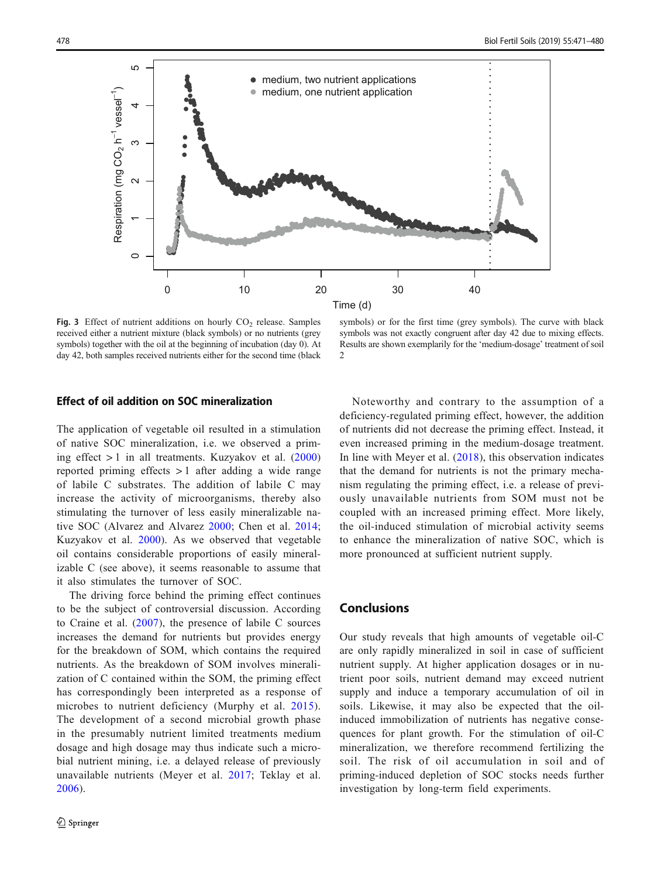<span id="page-7-0"></span>

Fig. 3 Effect of nutrient additions on hourly  $CO<sub>2</sub>$  release. Samples received either a nutrient mixture (black symbols) or no nutrients (grey symbols) together with the oil at the beginning of incubation (day 0). At day 42, both samples received nutrients either for the second time (black

symbols) or for the first time (grey symbols). The curve with black symbols was not exactly congruent after day 42 due to mixing effects. Results are shown exemplarily for the 'medium-dosage' treatment of soil  $\mathfrak{D}$ 

#### Effect of oil addition on SOC mineralization

The application of vegetable oil resulted in a stimulation of native SOC mineralization, i.e. we observed a priming effect  $> 1$  in all treatments. Kuzyakov et al. ([2000\)](#page-8-0) reported priming effects > 1 after adding a wide range of labile C substrates. The addition of labile C may increase the activity of microorganisms, thereby also stimulating the turnover of less easily mineralizable native SOC (Alvarez and Alvarez [2000](#page-8-0); Chen et al. [2014](#page-8-0); Kuzyakov et al. [2000](#page-8-0)). As we observed that vegetable oil contains considerable proportions of easily mineralizable C (see above), it seems reasonable to assume that it also stimulates the turnover of SOC.

The driving force behind the priming effect continues to be the subject of controversial discussion. According to Craine et al. ([2007](#page-8-0)), the presence of labile C sources increases the demand for nutrients but provides energy for the breakdown of SOM, which contains the required nutrients. As the breakdown of SOM involves mineralization of C contained within the SOM, the priming effect has correspondingly been interpreted as a response of microbes to nutrient deficiency (Murphy et al. [2015](#page-8-0)). The development of a second microbial growth phase in the presumably nutrient limited treatments medium dosage and high dosage may thus indicate such a microbial nutrient mining, i.e. a delayed release of previously unavailable nutrients (Meyer et al. [2017](#page-8-0); Teklay et al. [2006](#page-9-0)).

Noteworthy and contrary to the assumption of a deficiency-regulated priming effect, however, the addition of nutrients did not decrease the priming effect. Instead, it even increased priming in the medium-dosage treatment. In line with Meyer et al. ([2018\)](#page-8-0), this observation indicates that the demand for nutrients is not the primary mechanism regulating the priming effect, i.e. a release of previously unavailable nutrients from SOM must not be coupled with an increased priming effect. More likely, the oil-induced stimulation of microbial activity seems to enhance the mineralization of native SOC, which is more pronounced at sufficient nutrient supply.

## Conclusions

Our study reveals that high amounts of vegetable oil-C are only rapidly mineralized in soil in case of sufficient nutrient supply. At higher application dosages or in nutrient poor soils, nutrient demand may exceed nutrient supply and induce a temporary accumulation of oil in soils. Likewise, it may also be expected that the oilinduced immobilization of nutrients has negative consequences for plant growth. For the stimulation of oil-C mineralization, we therefore recommend fertilizing the soil. The risk of oil accumulation in soil and of priming-induced depletion of SOC stocks needs further investigation by long-term field experiments.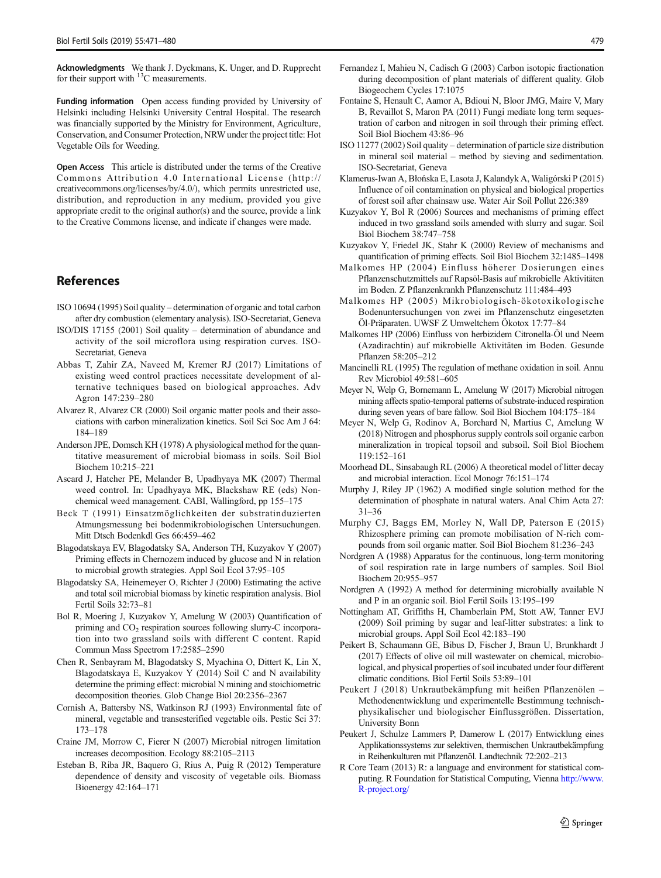<span id="page-8-0"></span>Acknowledgments We thank J. Dyckmans, K. Unger, and D. Rupprecht for their support with 13C measurements.

Funding information Open access funding provided by University of Helsinki including Helsinki University Central Hospital. The research was financially supported by the Ministry for Environment, Agriculture, Conservation, and Consumer Protection, NRW under the project title: Hot Vegetable Oils for Weeding.

Open Access This article is distributed under the terms of the Creative Commons Attribution 4.0 International License (http:// creativecommons.org/licenses/by/4.0/), which permits unrestricted use, distribution, and reproduction in any medium, provided you give appropriate credit to the original author(s) and the source, provide a link to the Creative Commons license, and indicate if changes were made.

## References

- ISO 10694 (1995) Soil quality determination of organic and total carbon after dry combustion (elementary analysis). ISO-Secretariat, Geneva
- ISO/DIS 17155 (2001) Soil quality determination of abundance and activity of the soil microflora using respiration curves. ISO-Secretariat, Geneva
- Abbas T, Zahir ZA, Naveed M, Kremer RJ (2017) Limitations of existing weed control practices necessitate development of alternative techniques based on biological approaches. Adv Agron 147:239–280
- Alvarez R, Alvarez CR (2000) Soil organic matter pools and their associations with carbon mineralization kinetics. Soil Sci Soc Am J 64: 184–189
- Anderson JPE, Domsch KH (1978) A physiological method for the quantitative measurement of microbial biomass in soils. Soil Biol Biochem 10:215–221
- Ascard J, Hatcher PE, Melander B, Upadhyaya MK (2007) Thermal weed control. In: Upadhyaya MK, Blackshaw RE (eds) Nonchemical weed management. CABI, Wallingford, pp 155–175
- Beck T (1991) Einsatzmöglichkeiten der substratinduzierten Atmungsmessung bei bodenmikrobiologischen Untersuchungen. Mitt Dtsch Bodenkdl Ges 66:459–462
- Blagodatskaya EV, Blagodatsky SA, Anderson TH, Kuzyakov Y (2007) Priming effects in Chernozem induced by glucose and N in relation to microbial growth strategies. Appl Soil Ecol 37:95–105
- Blagodatsky SA, Heinemeyer O, Richter J (2000) Estimating the active and total soil microbial biomass by kinetic respiration analysis. Biol Fertil Soils 32:73–81
- Bol R, Moering J, Kuzyakov Y, Amelung W (2003) Quantification of priming and CO<sub>2</sub> respiration sources following slurry-C incorporation into two grassland soils with different C content. Rapid Commun Mass Spectrom 17:2585–2590
- Chen R, Senbayram M, Blagodatsky S, Myachina O, Dittert K, Lin X, Blagodatskaya E, Kuzyakov Y (2014) Soil C and N availability determine the priming effect: microbial N mining and stoichiometric decomposition theories. Glob Change Biol 20:2356–2367
- Cornish A, Battersby NS, Watkinson RJ (1993) Environmental fate of mineral, vegetable and transesterified vegetable oils. Pestic Sci 37: 173–178
- Craine JM, Morrow C, Fierer N (2007) Microbial nitrogen limitation increases decomposition. Ecology 88:2105–2113
- Esteban B, Riba JR, Baquero G, Rius A, Puig R (2012) Temperature dependence of density and viscosity of vegetable oils. Biomass Bioenergy 42:164–171
- Fernandez I, Mahieu N, Cadisch G (2003) Carbon isotopic fractionation during decomposition of plant materials of different quality. Glob Biogeochem Cycles 17:1075
- Fontaine S, Henault C, Aamor A, Bdioui N, Bloor JMG, Maire V, Mary B, Revaillot S, Maron PA (2011) Fungi mediate long term sequestration of carbon and nitrogen in soil through their priming effect. Soil Biol Biochem 43:86–96
- ISO 11277 (2002) Soil quality determination of particle size distribution in mineral soil material – method by sieving and sedimentation. ISO-Secretariat, Geneva
- Klamerus-Iwan A, Błońska E, Lasota J, Kalandyk A, Waligórski P (2015) Influence of oil contamination on physical and biological properties of forest soil after chainsaw use. Water Air Soil Pollut 226:389
- Kuzyakov Y, Bol R (2006) Sources and mechanisms of priming effect induced in two grassland soils amended with slurry and sugar. Soil Biol Biochem 38:747–758
- Kuzyakov Y, Friedel JK, Stahr K (2000) Review of mechanisms and quantification of priming effects. Soil Biol Biochem 32:1485–1498
- Malkomes HP (2004) Einfluss höherer Dosierungen eines Pflanzenschutzmittels auf Rapsöl-Basis auf mikrobielle Aktivitäten im Boden. Z Pflanzenkrankh Pflanzenschutz 111:484–493
- Malkomes HP (2005) Mikrobiologisch-ökotoxikologische Bodenuntersuchungen von zwei im Pflanzenschutz eingesetzten Öl-Präparaten. UWSF Z Umweltchem Ökotox 17:77–84
- Malkomes HP (2006) Einfluss von herbizidem Citronella-Öl und Neem (Azadirachtin) auf mikrobielle Aktivitäten im Boden. Gesunde Pflanzen 58:205–212
- Mancinelli RL (1995) The regulation of methane oxidation in soil. Annu Rev Microbiol 49:581–605
- Meyer N, Welp G, Bornemann L, Amelung W (2017) Microbial nitrogen mining affects spatio-temporal patterns of substrate-induced respiration during seven years of bare fallow. Soil Biol Biochem 104:175–184
- Meyer N, Welp G, Rodinov A, Borchard N, Martius C, Amelung W (2018) Nitrogen and phosphorus supply controls soil organic carbon mineralization in tropical topsoil and subsoil. Soil Biol Biochem 119:152–161
- Moorhead DL, Sinsabaugh RL (2006) A theoretical model of litter decay and microbial interaction. Ecol Monogr 76:151–174
- Murphy J, Riley JP (1962) A modified single solution method for the determination of phosphate in natural waters. Anal Chim Acta 27: 31–36
- Murphy CJ, Baggs EM, Morley N, Wall DP, Paterson E (2015) Rhizosphere priming can promote mobilisation of N-rich compounds from soil organic matter. Soil Biol Biochem 81:236–243
- Nordgren A (1988) Apparatus for the continuous, long-term monitoring of soil respiration rate in large numbers of samples. Soil Biol Biochem 20:955–957
- Nordgren A (1992) A method for determining microbially available N and P in an organic soil. Biol Fertil Soils 13:195–199
- Nottingham AT, Griffiths H, Chamberlain PM, Stott AW, Tanner EVJ (2009) Soil priming by sugar and leaf-litter substrates: a link to microbial groups. Appl Soil Ecol 42:183–190
- Peikert B, Schaumann GE, Bibus D, Fischer J, Braun U, Brunkhardt J (2017) Effects of olive oil mill wastewater on chemical, microbiological, and physical properties of soil incubated under four different climatic conditions. Biol Fertil Soils 53:89–101
- Peukert J (2018) Unkrautbekämpfung mit heißen Pflanzenölen Methodenentwicklung und experimentelle Bestimmung technischphysikalischer und biologischer Einflussgrößen. Dissertation, University Bonn
- Peukert J, Schulze Lammers P, Damerow L (2017) Entwicklung eines Applikationssystems zur selektiven, thermischen Unkrautbekämpfung in Reihenkulturen mit Pflanzenöl. Landtechnik 72:202–213
- R Core Team (2013) R: a language and environment for statistical computing. R Foundation for Statistical Computing, Vienna [http://www.](http://www.r-project.org/) [R-project.org/](http://www.r-project.org/)